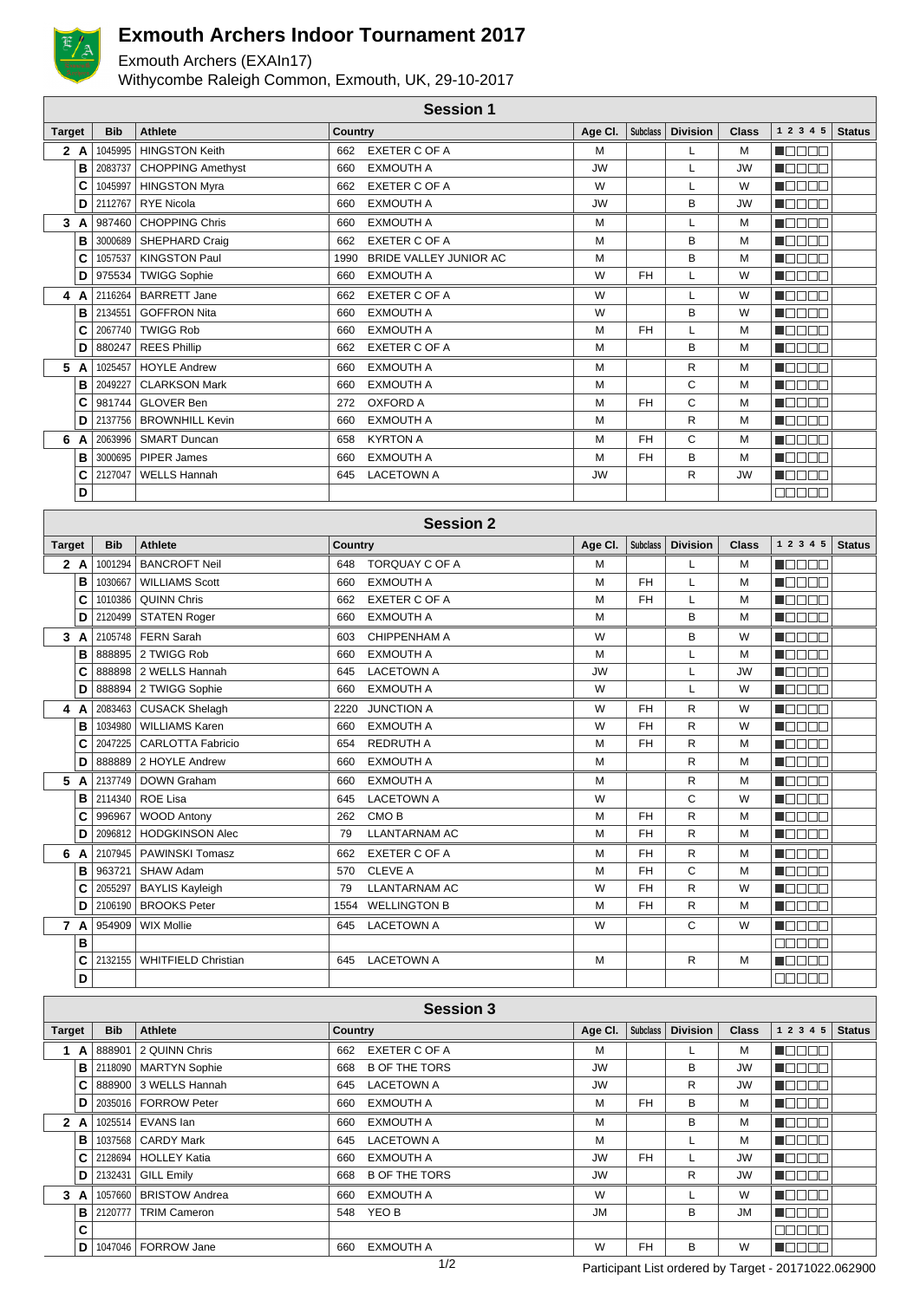

## **Exmouth Archers Indoor Tournament 2017**

Exmouth Archers (EXAIn17)

Withycombe Raleigh Common, Exmouth, UK, 29-10-2017

|               | <b>Session 1</b> |            |                          |                |                        |           |                 |                 |              |                    |               |
|---------------|------------------|------------|--------------------------|----------------|------------------------|-----------|-----------------|-----------------|--------------|--------------------|---------------|
| <b>Target</b> |                  | <b>Bib</b> | <b>Athlete</b>           | <b>Country</b> |                        | Age Cl.   | <b>Subclass</b> | <b>Division</b> | <b>Class</b> | 1 2 3 4 5          | <b>Status</b> |
|               | 2A               | 1045995    | <b>HINGSTON Keith</b>    | 662            | <b>EXETER C OF A</b>   | M         |                 |                 | M            | <b>REFERE</b>      |               |
|               | B                | 2083737    | <b>CHOPPING Amethyst</b> | 660            | <b>EXMOUTH A</b>       | <b>JW</b> |                 |                 | <b>JW</b>    | n Belee            |               |
|               | C                | 1045997    | <b>HINGSTON Myra</b>     | 662            | EXETER C OF A          | W         |                 | L               | W            | n an an a          |               |
|               | D                | 2112767    | <b>RYE Nicola</b>        | 660            | <b>EXMOUTH A</b>       | <b>JW</b> |                 | B               | <b>JW</b>    | <b>Maaaa</b>       |               |
| 3             | A                | 987460     | <b>CHOPPING Chris</b>    | 660            | <b>EXMOUTH A</b>       | M         |                 | L               | M            | n e sa             |               |
|               | в                | 3000689    | SHEPHARD Craig           | 662            | <b>EXETER C OF A</b>   | M         |                 | B               | M            | ┓<br>┓             |               |
|               | C                | 1057537    | <b>KINGSTON Paul</b>     | 1990           | BRIDE VALLEY JUNIOR AC | М         |                 | B               | M            | n mana             |               |
|               | D                | 975534     | <b>TWIGG Sophie</b>      | 660            | <b>EXMOUTH A</b>       | W         | <b>FH</b>       | L               | W            | <b>TE 882</b>      |               |
| 4             | A                | 2116264    | <b>BARRETT Jane</b>      | 662            | <b>EXETER C OF A</b>   | W         |                 |                 | W            | <b>HARL</b>        |               |
|               | в                | 2134551    | <b>GOFFRON Nita</b>      | 660            | <b>EXMOUTH A</b>       | W         |                 | B               | W            | n Booo             |               |
|               | C                | 2067740    | <b>TWIGG Rob</b>         | 660            | <b>EXMOUTH A</b>       | М         | <b>FH</b>       |                 | M            | n biblio           |               |
|               | D                | 880247     | <b>REES Phillip</b>      | 662            | <b>EXETER C OF A</b>   | M         |                 | B               | M            | n de e e           |               |
| 5             | A                | 1025457    | <b>HOYLE Andrew</b>      | 660            | <b>EXMOUTH A</b>       | М         |                 | R               | M            | n mmm              |               |
|               | в                | 2049227    | <b>CLARKSON Mark</b>     | 660            | <b>EXMOUTH A</b>       | М         |                 | C               | M            | an na m            |               |
|               | C                | 981744     | <b>GLOVER Ben</b>        | 272            | <b>OXFORD A</b>        | М         | <b>FH</b>       | C               | M            | n e e e l          |               |
|               | D                | 2137756    | <b>BROWNHILL Kevin</b>   | 660            | <b>EXMOUTH A</b>       | M         |                 | R               | M            | noool              |               |
| 6             | A                | 2063996    | <b>SMART Duncan</b>      | 658            | <b>KYRTON A</b>        | М         | <b>FH</b>       | C               | M            | <b>REAL PROPER</b> |               |
|               | в                | 3000695    | PIPER James              | 660            | <b>EXMOUTH A</b>       | М         | <b>FH</b>       | B               | M            | <b>RADA</b>        |               |
|               | C                | 2127047    | <b>WELLS Hannah</b>      | 645            | <b>LACETOWN A</b>      | <b>JW</b> |                 | R.              | <b>JW</b>    | n an an            |               |
|               | D                |            |                          |                |                        |           |                 |                 |              | 30000              |               |
|               |                  |            |                          |                |                        |           |                 |                 |              |                    |               |

|               | <b>Session 2</b> |            |                            |         |                       |           |           |                 |              |                                              |               |
|---------------|------------------|------------|----------------------------|---------|-----------------------|-----------|-----------|-----------------|--------------|----------------------------------------------|---------------|
| <b>Target</b> |                  | <b>Bib</b> | <b>Athlete</b>             | Country |                       | Age Cl.   | Subclass  | <b>Division</b> | <b>Class</b> | 1 2 3 4 5                                    | <b>Status</b> |
|               | 2A               | 1001294    | <b>BANCROFT Neil</b>       | 648     | <b>TORQUAY C OF A</b> | M         |           | L               | M            | N E E E E                                    |               |
|               | B                | 1030667    | <b>WILLIAMS Scott</b>      | 660     | <b>EXMOUTH A</b>      | M         | <b>FH</b> | L               | M            | MA DELL'                                     |               |
|               | C                | 1010386    | <b>QUINN Chris</b>         | 662     | <b>EXETER C OF A</b>  | М         | <b>FH</b> | L               | M            | n din Film                                   |               |
|               | D                | 2120499    | <b>STATEN Roger</b>        | 660     | <b>EXMOUTH A</b>      | M         |           | B               | M            | <b>H</b> ebbe                                |               |
| 3             | A                |            | 2105748   FERN Sarah       | 603     | CHIPPENHAM A          | W         |           | B               | W            | MOO BO                                       |               |
|               | в                | 888895     | 2 TWIGG Rob                | 660     | <b>EXMOUTH A</b>      | M         |           | L               | M            | ME E E E                                     |               |
|               | C                |            | 888898 2 WELLS Hannah      | 645     | <b>LACETOWN A</b>     | <b>JW</b> |           | L               | <b>JW</b>    | n a a a a                                    |               |
|               | D                |            | 888894 2 TWIGG Sophie      | 660     | <b>EXMOUTH A</b>      | W         |           | Г               | W            | NO SE S                                      |               |
| 4             | A                |            | 2083463 CUSACK Shelagh     | 2220    | <b>JUNCTION A</b>     | W         | <b>FH</b> | R               | W            | n de e e                                     |               |
|               | B                |            | 1034980 WILLIAMS Karen     | 660     | <b>EXMOUTH A</b>      | W         | <b>FH</b> | R               | W            | n de se                                      |               |
|               | C                | 2047225    | <b>CARLOTTA Fabricio</b>   | 654     | <b>REDRUTH A</b>      | М         | <b>FH</b> | R               | M            | n Bood                                       |               |
|               | D                |            | 888889 2 HOYLE Andrew      | 660     | <b>EXMOUTH A</b>      | M         |           | R               | M            | n da a a                                     |               |
| 5             | A                |            | 2137749 DOWN Graham        | 660     | <b>EXMOUTH A</b>      | M         |           | R               | M            | n da a a                                     |               |
|               | в                | 2114340    | <b>ROE Lisa</b>            | 645     | <b>LACETOWN A</b>     | W         |           | C               | W            | mana m                                       |               |
|               | С                | 996967     | <b>WOOD Antony</b>         | 262     | CMO <sub>B</sub>      | M         | <b>FH</b> | R               | M            | n de se                                      |               |
|               | D                | 2096812    | <b>HODGKINSON Alec</b>     | 79      | <b>LLANTARNAM AC</b>  | М         | <b>FH</b> | R               | M            | n 800a                                       |               |
| 6             | A                |            | 2107945   PAWINSKI Tomasz  | 662     | <b>EXETER C OF A</b>  | М         | <b>FH</b> | R               | M            | $\blacksquare$ $\square$ $\square$ $\square$ |               |
|               | B                | 963721     | SHAW Adam                  | 570     | <b>CLEVE A</b>        | M         | <b>FH</b> | C               | M            | MA DA D                                      |               |
|               | C                | 2055297    | <b>BAYLIS Kayleigh</b>     | 79      | <b>LLANTARNAM AC</b>  | W         | <b>FH</b> | R               | W            | MOO BID                                      |               |
|               | D                | 2106190    | <b>BROOKS Peter</b>        |         | 1554 WELLINGTON B     | M         | <b>FH</b> | R               | M            | Maaaa                                        |               |
| 7             | A                | 954909     | <b>WIX Mollie</b>          | 645     | <b>LACETOWN A</b>     | W         |           | C               | W            | Maaaa                                        |               |
|               | B                |            |                            |         |                       |           |           |                 |              | 88888                                        |               |
|               | C                | 2132155    | <b>WHITFIELD Christian</b> | 645     | <b>LACETOWN A</b>     | M         |           | R               | M            | <b>M</b> OOOC                                |               |
|               | D                |            |                            |         |                       |           |           |                 |              | an na a                                      |               |

|               | <b>Session 3</b> |            |                        |                             |           |           |                 |              |              |               |  |
|---------------|------------------|------------|------------------------|-----------------------------|-----------|-----------|-----------------|--------------|--------------|---------------|--|
| <b>Target</b> |                  | <b>Bib</b> | Athlete                | <b>Country</b>              | Age Cl.   | Subclass  | <b>Division</b> | <b>Class</b> | 1 2 3 4 5    | <b>Status</b> |  |
| A             |                  | 888901     | 2 QUINN Chris          | EXETER C OF A<br>662        | М         |           |                 | М            | n dia Giro   |               |  |
|               | в                | 2118090    | <b>MARTYN Sophie</b>   | <b>B OF THE TORS</b><br>668 | <b>JW</b> |           | В               | <b>JW</b>    | MOOO O       |               |  |
|               | С                |            | 888900 3 WELLS Hannah  | <b>LACETOWN A</b><br>645    | <b>JW</b> |           | R               | <b>JW</b>    | Maaaa        |               |  |
|               | D                |            | 2035016   FORROW Peter | <b>EXMOUTH A</b><br>660     | М         | <b>FH</b> | B               | М            | HEEEE        |               |  |
|               | 2 A              |            | 1025514 EVANS Ian      | <b>EXMOUTH A</b><br>660     | М         |           | В               | М            | n dooo       |               |  |
|               | в                | 1037568    | <b>CARDY Mark</b>      | <b>LACETOWN A</b><br>645    | М         |           |                 | м            | n de e e     |               |  |
|               | C                | 2128694    | <b>HOLLEY Katia</b>    | <b>EXMOUTH A</b><br>660     | <b>JW</b> | <b>FH</b> |                 | <b>JW</b>    | n die Bie    |               |  |
|               | D                | 2132431    | <b>GILL Emily</b>      | <b>B OF THE TORS</b><br>668 | <b>JW</b> |           | R               | <b>JW</b>    | Maaaa        |               |  |
|               | 3A               | 1057660    | <b>BRISTOW Andrea</b>  | <b>EXMOUTH A</b><br>660     | W         |           |                 | W            | n Boos       |               |  |
|               | в                | 2120777    | <b>TRIM Cameron</b>    | YEO B<br>548                | <b>JM</b> |           | B               | <b>JM</b>    | n do do      |               |  |
|               | C                |            |                        |                             |           |           |                 |              | <b>BOOOO</b> |               |  |
|               | D                | 1047046    | <b>FORROW Jane</b>     | <b>EXMOUTH A</b><br>660     | W         | <b>FH</b> | B               | W            | <b>Reces</b> |               |  |